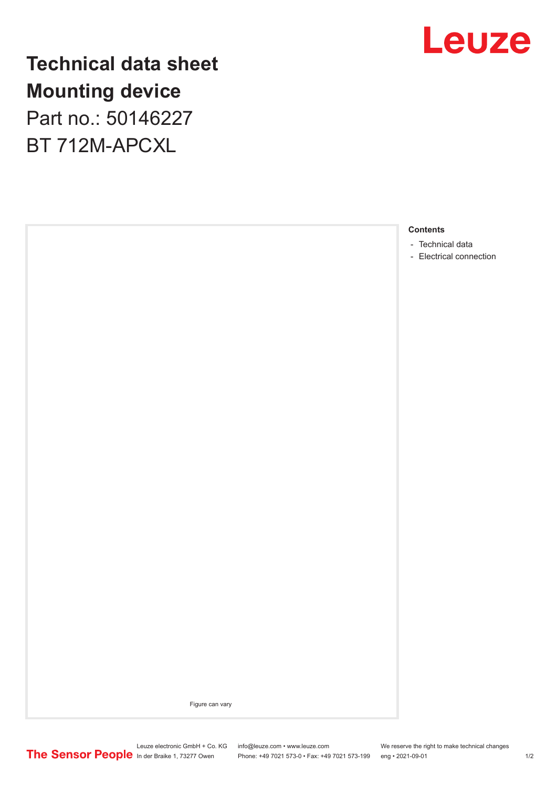

**Technical data sheet Mounting device** Part no.: 50146227

BT 712M-APCXL



Figure can vary

Leuze electronic GmbH + Co. KG info@leuze.com • www.leuze.com We reserve the right to make technical changes In der Braike 1, 73277 Owen Phone: +49 7021 573-0 • Fax: +49 7021 573-199 eng • 2021-09-01